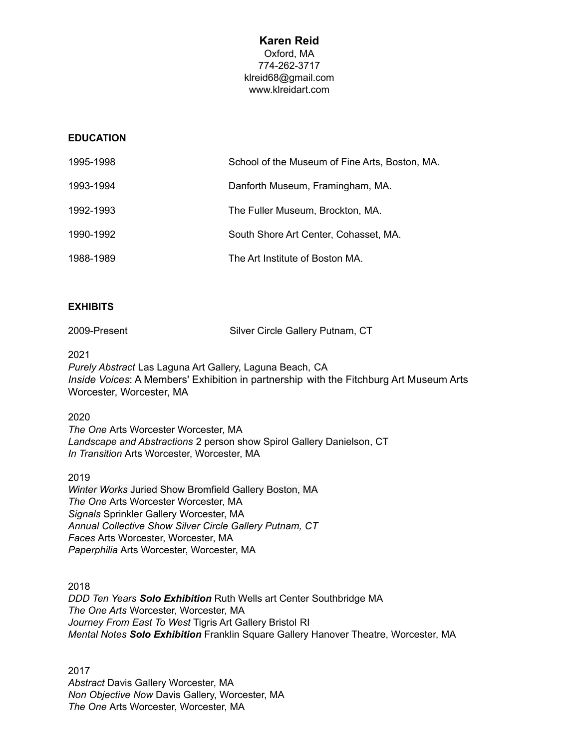# **Karen Reid** Oxford, MA 774-262-3717 [klreid68@gmail.com](mailto:klreid68@gmail.com) www.klreidart.com

## **EDUCATION**

| 1995-1998 | School of the Museum of Fine Arts, Boston, MA. |
|-----------|------------------------------------------------|
| 1993-1994 | Danforth Museum, Framingham, MA.               |
| 1992-1993 | The Fuller Museum, Brockton, MA.               |
| 1990-1992 | South Shore Art Center, Cohasset, MA.          |
| 1988-1989 | The Art Institute of Boston MA.                |

## **EXHIBITS**

| 2009-Present | Silver Circle Gallery Putnam, CT |  |
|--------------|----------------------------------|--|
|              |                                  |  |

2021

*Purely Abstract* Las Laguna Art Gallery, Laguna Beach, CA *Inside Voices*: A Members' Exhibition in partnership with the Fitchburg Art Museum Arts Worcester, Worcester, MA

### 2020

*The One* Arts Worcester Worcester, MA *Landscape and Abstractions* 2 person show Spirol Gallery Danielson, CT *In Transition* Arts Worcester, Worcester, MA

## 2019

*Winter Works* Juried Show Bromfield Gallery Boston, MA *The One* Arts Worcester Worcester, MA *Signals* Sprinkler Gallery Worcester, MA *Annual Collective Show Silver Circle Gallery Putnam, CT Faces* Arts Worcester, Worcester, MA *Paperphilia* Arts Worcester, Worcester, MA

2018 *DDD Ten Years Solo Exhibition* Ruth Wells art Center Southbridge MA *The One Arts* Worcester, Worcester, MA *Journey From East To West* Tigris Art Gallery Bristol RI *Mental Notes Solo Exhibition* Franklin Square Gallery Hanover Theatre, Worcester, MA

2017 *Abstract* Davis Gallery Worcester, MA *Non Objective Now* Davis Gallery, Worcester, MA *The One* Arts Worcester, Worcester, MA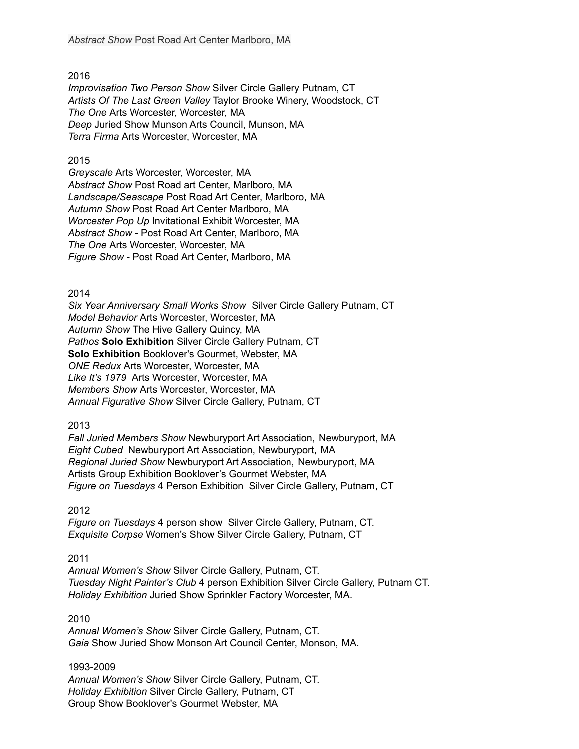2016

*Improvisation Two Person Show* Silver Circle Gallery Putnam, CT *Artists Of The Last Green Valley* Taylor Brooke Winery, Woodstock, CT *The One* Arts Worcester, Worcester, MA *Deep* Juried Show Munson Arts Council, Munson, MA *Terra Firma* Arts Worcester, Worcester, MA

## 2015

*Greyscale* Arts Worcester, Worcester, MA *Abstract Show* Post Road art Center, Marlboro, MA *Landscape/Seascape* Post Road Art Center, Marlboro, MA *Autumn Show* Post Road Art Center Marlboro, MA *Worcester Pop Up* Invitational Exhibit Worcester, MA *Abstract Show* - Post Road Art Center, Marlboro, MA *The One* Arts Worcester, Worcester, MA *Figure Show* - Post Road Art Center, Marlboro, MA

## 2014

*Six Year Anniversary Small Works Show* Silver Circle Gallery Putnam, CT *Model Behavior* Arts Worcester, Worcester, MA *Autumn Show* The Hive Gallery Quincy, MA *Pathos* **Solo Exhibition** Silver Circle Gallery Putnam, CT **Solo Exhibition** Booklover's Gourmet, Webster, MA *ONE Redux* Arts Worcester, Worcester, MA *Like It's 1979* Arts Worcester, Worcester, MA *Members Show* Arts Worcester, Worcester, MA *Annual Figurative Show* Silver Circle Gallery, Putnam, CT

2013

*Fall Juried Members Show* Newburyport Art Association, Newburyport, MA *Eight Cubed* Newburyport Art Association, Newburyport, MA *Regional Juried Show* Newburyport Art Association, Newburyport, MA Artists Group Exhibition Booklover's Gourmet Webster, MA *Figure on Tuesdays* 4 Person Exhibition Silver Circle Gallery, Putnam, CT

2012

*Figure on Tuesdays* 4 person show Silver Circle Gallery, Putnam, CT. *Exquisite Corpse* Women's Show Silver Circle Gallery, Putnam, CT

2011

*Annual Women's Show* Silver Circle Gallery, Putnam, CT. *Tuesday Night Painter's Club* 4 person Exhibition Silver Circle Gallery, Putnam CT. *Holiday Exhibition* Juried Show Sprinkler Factory Worcester, MA.

## 2010

*Annual Women's Show* Silver Circle Gallery, Putnam, CT. *Gaia* Show Juried Show Monson Art Council Center, Monson, MA.

#### 1993-2009

*Annual Women's Show* Silver Circle Gallery, Putnam, CT. *Holiday Exhibition* Silver Circle Gallery, Putnam, CT Group Show Booklover's Gourmet Webster, MA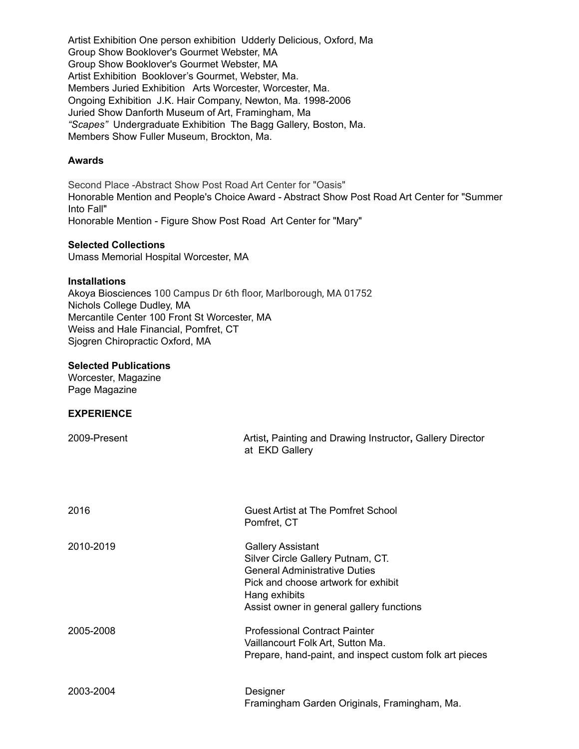Artist Exhibition One person exhibition Udderly Delicious, Oxford, Ma Group Show Booklover's Gourmet Webster, MA Group Show Booklover's Gourmet Webster, MA Artist Exhibition Booklover's Gourmet, Webster, Ma. Members Juried Exhibition Arts Worcester, Worcester, Ma. Ongoing Exhibition J.K. Hair Company, Newton, Ma. 1998-2006 Juried Show Danforth Museum of Art, Framingham, Ma *"Scapes"* Undergraduate Exhibition The Bagg Gallery, Boston, Ma. Members Show Fuller Museum, Brockton, Ma.

## **Awards**

Second Place -Abstract Show Post Road Art Center for "Oasis" Honorable Mention and People's Choice Award - Abstract Show Post Road Art Center for "Summer Into Fall" Honorable Mention - Figure Show Post Road Art Center for "Mary"

#### **Selected Collections**

Umass Memorial Hospital Worcester, MA

### **Installations**

Akoya Biosciences 100 Campus Dr 6th floor, Marlborough, MA 01752 Nichols College Dudley, MA Mercantile Center 100 Front St Worcester, MA Weiss and Hale Financial, Pomfret, CT Sjogren Chiropractic Oxford, MA

### **Selected Publications**

Worcester, Magazine Page Magazine

## **EXPERIENCE**

| 2009-Present | Artist, Painting and Drawing Instructor, Gallery Director<br>at EKD Gallery                                                                                                                                |
|--------------|------------------------------------------------------------------------------------------------------------------------------------------------------------------------------------------------------------|
| 2016         | Guest Artist at The Pomfret School<br>Pomfret, CT                                                                                                                                                          |
| 2010-2019    | <b>Gallery Assistant</b><br>Silver Circle Gallery Putnam, CT.<br><b>General Administrative Duties</b><br>Pick and choose artwork for exhibit<br>Hang exhibits<br>Assist owner in general gallery functions |
| 2005-2008    | <b>Professional Contract Painter</b><br>Vaillancourt Folk Art, Sutton Ma.<br>Prepare, hand-paint, and inspect custom folk art pieces                                                                       |
| 2003-2004    | Designer<br>Framingham Garden Originals, Framingham, Ma.                                                                                                                                                   |